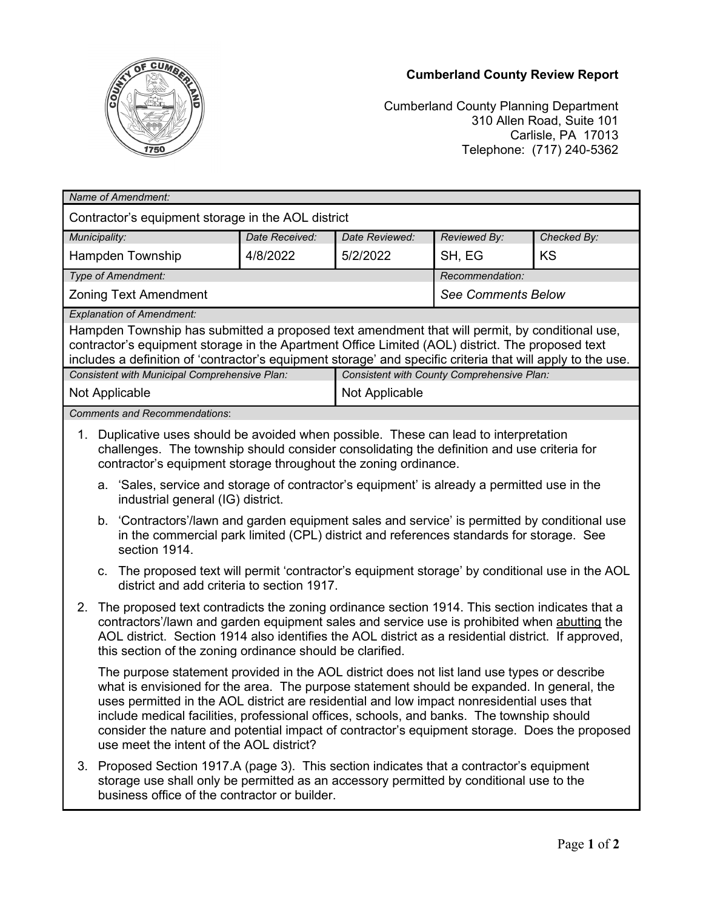## **Cumberland County Review Report**



Cumberland County Planning Department 310 Allen Road, Suite 101 Carlisle, PA 17013 Telephone: (717) 240-5362

| Name of Amendment:                                                                                                                                                                                                                                                                                                |                                                                                                                                                                                                                                                                                                                                                                                                                                                                                                                                   |                                   |                |                                            |                                                                                             |             |  |
|-------------------------------------------------------------------------------------------------------------------------------------------------------------------------------------------------------------------------------------------------------------------------------------------------------------------|-----------------------------------------------------------------------------------------------------------------------------------------------------------------------------------------------------------------------------------------------------------------------------------------------------------------------------------------------------------------------------------------------------------------------------------------------------------------------------------------------------------------------------------|-----------------------------------|----------------|--------------------------------------------|---------------------------------------------------------------------------------------------|-------------|--|
| Contractor's equipment storage in the AOL district                                                                                                                                                                                                                                                                |                                                                                                                                                                                                                                                                                                                                                                                                                                                                                                                                   |                                   |                |                                            |                                                                                             |             |  |
| Municipality:                                                                                                                                                                                                                                                                                                     |                                                                                                                                                                                                                                                                                                                                                                                                                                                                                                                                   |                                   | Date Received: | Date Reviewed:                             | Reviewed By:                                                                                | Checked By: |  |
| Hampden Township                                                                                                                                                                                                                                                                                                  |                                                                                                                                                                                                                                                                                                                                                                                                                                                                                                                                   |                                   | 4/8/2022       | 5/2/2022                                   | SH, EG                                                                                      | <b>KS</b>   |  |
| Type of Amendment:                                                                                                                                                                                                                                                                                                |                                                                                                                                                                                                                                                                                                                                                                                                                                                                                                                                   |                                   |                |                                            | Recommendation:                                                                             |             |  |
| <b>Zoning Text Amendment</b>                                                                                                                                                                                                                                                                                      |                                                                                                                                                                                                                                                                                                                                                                                                                                                                                                                                   |                                   |                |                                            | <b>See Comments Below</b>                                                                   |             |  |
| <b>Explanation of Amendment:</b>                                                                                                                                                                                                                                                                                  |                                                                                                                                                                                                                                                                                                                                                                                                                                                                                                                                   |                                   |                |                                            |                                                                                             |             |  |
| Hampden Township has submitted a proposed text amendment that will permit, by conditional use,<br>contractor's equipment storage in the Apartment Office Limited (AOL) district. The proposed text<br>includes a definition of 'contractor's equipment storage' and specific criteria that will apply to the use. |                                                                                                                                                                                                                                                                                                                                                                                                                                                                                                                                   |                                   |                |                                            |                                                                                             |             |  |
| Consistent with Municipal Comprehensive Plan:                                                                                                                                                                                                                                                                     |                                                                                                                                                                                                                                                                                                                                                                                                                                                                                                                                   |                                   |                | Consistent with County Comprehensive Plan: |                                                                                             |             |  |
| Not Applicable                                                                                                                                                                                                                                                                                                    |                                                                                                                                                                                                                                                                                                                                                                                                                                                                                                                                   |                                   |                | Not Applicable                             |                                                                                             |             |  |
| <b>Comments and Recommendations:</b>                                                                                                                                                                                                                                                                              |                                                                                                                                                                                                                                                                                                                                                                                                                                                                                                                                   |                                   |                |                                            |                                                                                             |             |  |
| 1.                                                                                                                                                                                                                                                                                                                | Duplicative uses should be avoided when possible. These can lead to interpretation<br>challenges. The township should consider consolidating the definition and use criteria for<br>contractor's equipment storage throughout the zoning ordinance.                                                                                                                                                                                                                                                                               |                                   |                |                                            |                                                                                             |             |  |
|                                                                                                                                                                                                                                                                                                                   |                                                                                                                                                                                                                                                                                                                                                                                                                                                                                                                                   | industrial general (IG) district. |                |                                            | a. 'Sales, service and storage of contractor's equipment' is already a permitted use in the |             |  |
|                                                                                                                                                                                                                                                                                                                   | b. 'Contractors'/lawn and garden equipment sales and service' is permitted by conditional use<br>in the commercial park limited (CPL) district and references standards for storage. See<br>section 1914.                                                                                                                                                                                                                                                                                                                         |                                   |                |                                            |                                                                                             |             |  |
|                                                                                                                                                                                                                                                                                                                   | c. The proposed text will permit 'contractor's equipment storage' by conditional use in the AOL<br>district and add criteria to section 1917.                                                                                                                                                                                                                                                                                                                                                                                     |                                   |                |                                            |                                                                                             |             |  |
| 2.                                                                                                                                                                                                                                                                                                                | The proposed text contradicts the zoning ordinance section 1914. This section indicates that a<br>contractors'/lawn and garden equipment sales and service use is prohibited when abutting the<br>AOL district. Section 1914 also identifies the AOL district as a residential district. If approved,<br>this section of the zoning ordinance should be clarified.                                                                                                                                                                |                                   |                |                                            |                                                                                             |             |  |
|                                                                                                                                                                                                                                                                                                                   | The purpose statement provided in the AOL district does not list land use types or describe<br>what is envisioned for the area. The purpose statement should be expanded. In general, the<br>uses permitted in the AOL district are residential and low impact nonresidential uses that<br>include medical facilities, professional offices, schools, and banks. The township should<br>consider the nature and potential impact of contractor's equipment storage. Does the proposed<br>use meet the intent of the AOL district? |                                   |                |                                            |                                                                                             |             |  |
|                                                                                                                                                                                                                                                                                                                   | 3. Proposed Section 1917.A (page 3). This section indicates that a contractor's equipment<br>storage use shall only be permitted as an accessory permitted by conditional use to the<br>business office of the contractor or builder.                                                                                                                                                                                                                                                                                             |                                   |                |                                            |                                                                                             |             |  |